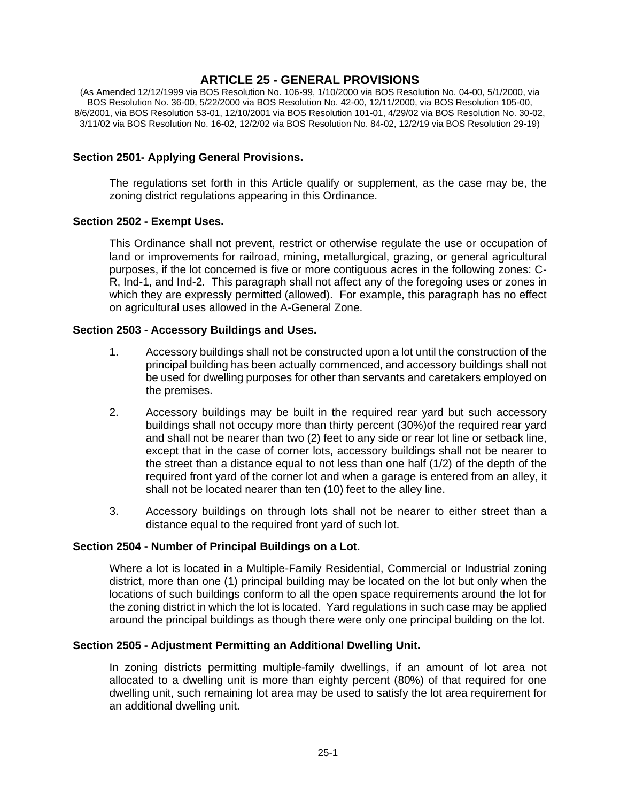## **ARTICLE 25 - GENERAL PROVISIONS**

(As Amended 12/12/1999 via BOS Resolution No. 106-99, 1/10/2000 via BOS Resolution No. 04-00, 5/1/2000, via BOS Resolution No. 36-00, 5/22/2000 via BOS Resolution No. 42-00, 12/11/2000, via BOS Resolution 105-00, 8/6/2001, via BOS Resolution 53-01, 12/10/2001 via BOS Resolution 101-01, 4/29/02 via BOS Resolution No. 30-02, 3/11/02 via BOS Resolution No. 16-02, 12/2/02 via BOS Resolution No. 84-02, 12/2/19 via BOS Resolution 29-19)

#### **Section 2501- Applying General Provisions.**

The regulations set forth in this Article qualify or supplement, as the case may be, the zoning district regulations appearing in this Ordinance.

#### **Section 2502 - Exempt Uses.**

This Ordinance shall not prevent, restrict or otherwise regulate the use or occupation of land or improvements for railroad, mining, metallurgical, grazing, or general agricultural purposes, if the lot concerned is five or more contiguous acres in the following zones: C-R, Ind-1, and Ind-2. This paragraph shall not affect any of the foregoing uses or zones in which they are expressly permitted (allowed). For example, this paragraph has no effect on agricultural uses allowed in the A-General Zone.

#### **Section 2503 - Accessory Buildings and Uses.**

- 1. Accessory buildings shall not be constructed upon a lot until the construction of the principal building has been actually commenced, and accessory buildings shall not be used for dwelling purposes for other than servants and caretakers employed on the premises.
- 2. Accessory buildings may be built in the required rear yard but such accessory buildings shall not occupy more than thirty percent (30%)of the required rear yard and shall not be nearer than two (2) feet to any side or rear lot line or setback line, except that in the case of corner lots, accessory buildings shall not be nearer to the street than a distance equal to not less than one half (1/2) of the depth of the required front yard of the corner lot and when a garage is entered from an alley, it shall not be located nearer than ten (10) feet to the alley line.
- 3. Accessory buildings on through lots shall not be nearer to either street than a distance equal to the required front yard of such lot.

#### **Section 2504 - Number of Principal Buildings on a Lot.**

Where a lot is located in a Multiple-Family Residential, Commercial or Industrial zoning district, more than one (1) principal building may be located on the lot but only when the locations of such buildings conform to all the open space requirements around the lot for the zoning district in which the lot is located. Yard regulations in such case may be applied around the principal buildings as though there were only one principal building on the lot.

#### **Section 2505 - Adjustment Permitting an Additional Dwelling Unit.**

In zoning districts permitting multiple-family dwellings, if an amount of lot area not allocated to a dwelling unit is more than eighty percent (80%) of that required for one dwelling unit, such remaining lot area may be used to satisfy the lot area requirement for an additional dwelling unit.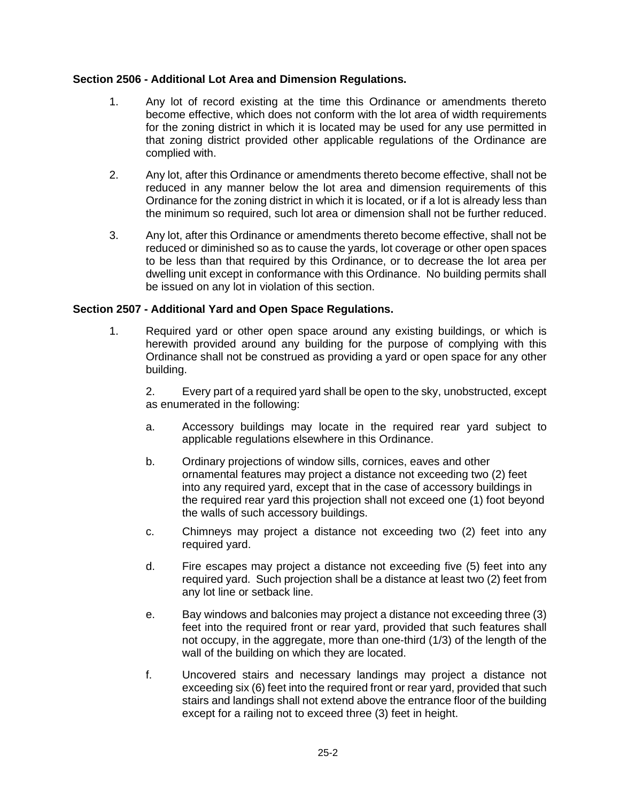#### **Section 2506 - Additional Lot Area and Dimension Regulations.**

- 1. Any lot of record existing at the time this Ordinance or amendments thereto become effective, which does not conform with the lot area of width requirements for the zoning district in which it is located may be used for any use permitted in that zoning district provided other applicable regulations of the Ordinance are complied with.
- 2. Any lot, after this Ordinance or amendments thereto become effective, shall not be reduced in any manner below the lot area and dimension requirements of this Ordinance for the zoning district in which it is located, or if a lot is already less than the minimum so required, such lot area or dimension shall not be further reduced.
- 3. Any lot, after this Ordinance or amendments thereto become effective, shall not be reduced or diminished so as to cause the yards, lot coverage or other open spaces to be less than that required by this Ordinance, or to decrease the lot area per dwelling unit except in conformance with this Ordinance. No building permits shall be issued on any lot in violation of this section.

#### **Section 2507 - Additional Yard and Open Space Regulations.**

1. Required yard or other open space around any existing buildings, or which is herewith provided around any building for the purpose of complying with this Ordinance shall not be construed as providing a yard or open space for any other building.

2. Every part of a required yard shall be open to the sky, unobstructed, except as enumerated in the following:

- a. Accessory buildings may locate in the required rear yard subject to applicable regulations elsewhere in this Ordinance.
- b. Ordinary projections of window sills, cornices, eaves and other ornamental features may project a distance not exceeding two (2) feet into any required yard, except that in the case of accessory buildings in the required rear yard this projection shall not exceed one (1) foot beyond the walls of such accessory buildings.
- c. Chimneys may project a distance not exceeding two (2) feet into any required yard.
- d. Fire escapes may project a distance not exceeding five (5) feet into any required yard. Such projection shall be a distance at least two (2) feet from any lot line or setback line.
- e. Bay windows and balconies may project a distance not exceeding three (3) feet into the required front or rear yard, provided that such features shall not occupy, in the aggregate, more than one-third (1/3) of the length of the wall of the building on which they are located.
- f. Uncovered stairs and necessary landings may project a distance not exceeding six (6) feet into the required front or rear yard, provided that such stairs and landings shall not extend above the entrance floor of the building except for a railing not to exceed three (3) feet in height.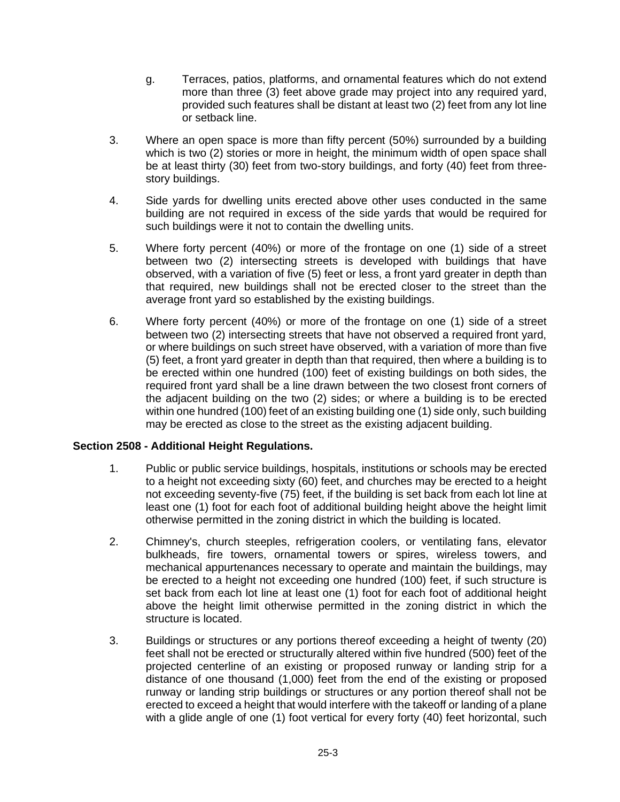- g. Terraces, patios, platforms, and ornamental features which do not extend more than three (3) feet above grade may project into any required yard, provided such features shall be distant at least two (2) feet from any lot line or setback line.
- 3. Where an open space is more than fifty percent (50%) surrounded by a building which is two (2) stories or more in height, the minimum width of open space shall be at least thirty (30) feet from two-story buildings, and forty (40) feet from threestory buildings.
- 4. Side yards for dwelling units erected above other uses conducted in the same building are not required in excess of the side yards that would be required for such buildings were it not to contain the dwelling units.
- 5. Where forty percent (40%) or more of the frontage on one (1) side of a street between two (2) intersecting streets is developed with buildings that have observed, with a variation of five (5) feet or less, a front yard greater in depth than that required, new buildings shall not be erected closer to the street than the average front yard so established by the existing buildings.
- 6. Where forty percent (40%) or more of the frontage on one (1) side of a street between two (2) intersecting streets that have not observed a required front yard, or where buildings on such street have observed, with a variation of more than five (5) feet, a front yard greater in depth than that required, then where a building is to be erected within one hundred (100) feet of existing buildings on both sides, the required front yard shall be a line drawn between the two closest front corners of the adjacent building on the two (2) sides; or where a building is to be erected within one hundred (100) feet of an existing building one (1) side only, such building may be erected as close to the street as the existing adjacent building.

## **Section 2508 - Additional Height Regulations.**

- 1. Public or public service buildings, hospitals, institutions or schools may be erected to a height not exceeding sixty (60) feet, and churches may be erected to a height not exceeding seventy-five (75) feet, if the building is set back from each lot line at least one (1) foot for each foot of additional building height above the height limit otherwise permitted in the zoning district in which the building is located.
- 2. Chimney's, church steeples, refrigeration coolers, or ventilating fans, elevator bulkheads, fire towers, ornamental towers or spires, wireless towers, and mechanical appurtenances necessary to operate and maintain the buildings, may be erected to a height not exceeding one hundred (100) feet, if such structure is set back from each lot line at least one (1) foot for each foot of additional height above the height limit otherwise permitted in the zoning district in which the structure is located.
- 3. Buildings or structures or any portions thereof exceeding a height of twenty (20) feet shall not be erected or structurally altered within five hundred (500) feet of the projected centerline of an existing or proposed runway or landing strip for a distance of one thousand (1,000) feet from the end of the existing or proposed runway or landing strip buildings or structures or any portion thereof shall not be erected to exceed a height that would interfere with the takeoff or landing of a plane with a glide angle of one (1) foot vertical for every forty (40) feet horizontal, such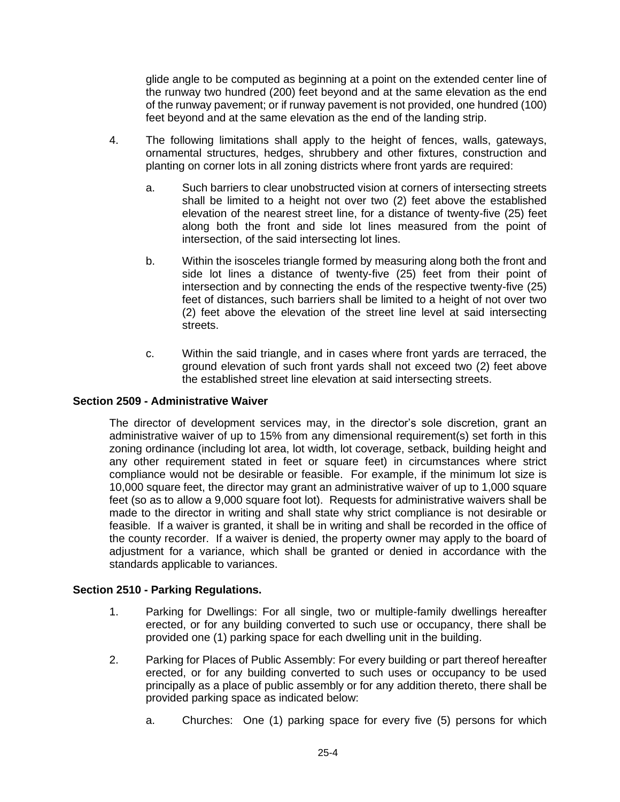glide angle to be computed as beginning at a point on the extended center line of the runway two hundred (200) feet beyond and at the same elevation as the end of the runway pavement; or if runway pavement is not provided, one hundred (100) feet beyond and at the same elevation as the end of the landing strip.

- 4. The following limitations shall apply to the height of fences, walls, gateways, ornamental structures, hedges, shrubbery and other fixtures, construction and planting on corner lots in all zoning districts where front yards are required:
	- a. Such barriers to clear unobstructed vision at corners of intersecting streets shall be limited to a height not over two (2) feet above the established elevation of the nearest street line, for a distance of twenty-five (25) feet along both the front and side lot lines measured from the point of intersection, of the said intersecting lot lines.
	- b. Within the isosceles triangle formed by measuring along both the front and side lot lines a distance of twenty-five (25) feet from their point of intersection and by connecting the ends of the respective twenty-five (25) feet of distances, such barriers shall be limited to a height of not over two (2) feet above the elevation of the street line level at said intersecting streets.
	- c. Within the said triangle, and in cases where front yards are terraced, the ground elevation of such front yards shall not exceed two (2) feet above the established street line elevation at said intersecting streets.

## **Section 2509 - Administrative Waiver**

The director of development services may, in the director's sole discretion, grant an administrative waiver of up to 15% from any dimensional requirement(s) set forth in this zoning ordinance (including lot area, lot width, lot coverage, setback, building height and any other requirement stated in feet or square feet) in circumstances where strict compliance would not be desirable or feasible. For example, if the minimum lot size is 10,000 square feet, the director may grant an administrative waiver of up to 1,000 square feet (so as to allow a 9,000 square foot lot). Requests for administrative waivers shall be made to the director in writing and shall state why strict compliance is not desirable or feasible. If a waiver is granted, it shall be in writing and shall be recorded in the office of the county recorder. If a waiver is denied, the property owner may apply to the board of adjustment for a variance, which shall be granted or denied in accordance with the standards applicable to variances.

## **Section 2510 - Parking Regulations.**

- 1. Parking for Dwellings: For all single, two or multiple-family dwellings hereafter erected, or for any building converted to such use or occupancy, there shall be provided one (1) parking space for each dwelling unit in the building.
- 2. Parking for Places of Public Assembly: For every building or part thereof hereafter erected, or for any building converted to such uses or occupancy to be used principally as a place of public assembly or for any addition thereto, there shall be provided parking space as indicated below:
	- a. Churches: One (1) parking space for every five (5) persons for which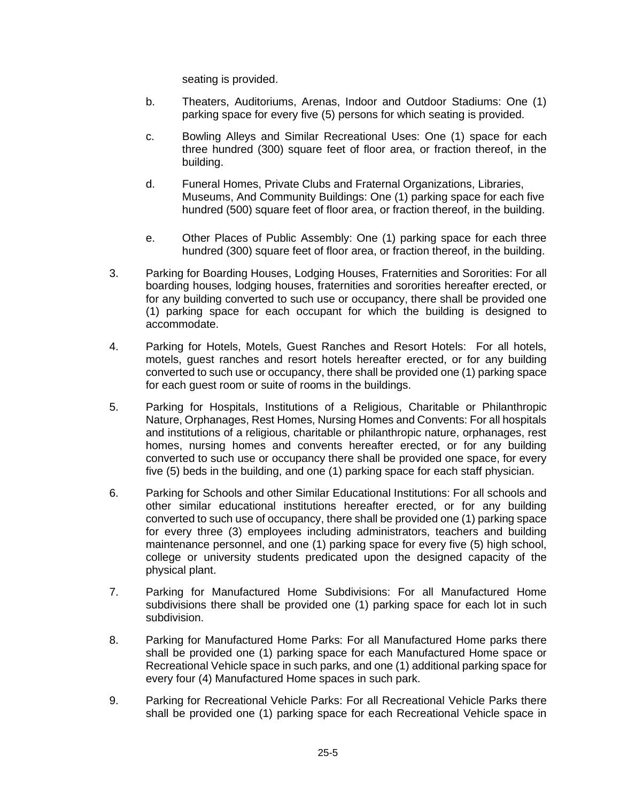seating is provided.

- b. Theaters, Auditoriums, Arenas, Indoor and Outdoor Stadiums: One (1) parking space for every five (5) persons for which seating is provided.
- c. Bowling Alleys and Similar Recreational Uses: One (1) space for each three hundred (300) square feet of floor area, or fraction thereof, in the building.
- d. Funeral Homes, Private Clubs and Fraternal Organizations, Libraries, Museums, And Community Buildings: One (1) parking space for each five hundred (500) square feet of floor area, or fraction thereof, in the building.
- e. Other Places of Public Assembly: One (1) parking space for each three hundred (300) square feet of floor area, or fraction thereof, in the building.
- 3. Parking for Boarding Houses, Lodging Houses, Fraternities and Sororities: For all boarding houses, lodging houses, fraternities and sororities hereafter erected, or for any building converted to such use or occupancy, there shall be provided one (1) parking space for each occupant for which the building is designed to accommodate.
- 4. Parking for Hotels, Motels, Guest Ranches and Resort Hotels: For all hotels, motels, guest ranches and resort hotels hereafter erected, or for any building converted to such use or occupancy, there shall be provided one (1) parking space for each guest room or suite of rooms in the buildings.
- 5. Parking for Hospitals, Institutions of a Religious, Charitable or Philanthropic Nature, Orphanages, Rest Homes, Nursing Homes and Convents: For all hospitals and institutions of a religious, charitable or philanthropic nature, orphanages, rest homes, nursing homes and convents hereafter erected, or for any building converted to such use or occupancy there shall be provided one space, for every five (5) beds in the building, and one (1) parking space for each staff physician.
- 6. Parking for Schools and other Similar Educational Institutions: For all schools and other similar educational institutions hereafter erected, or for any building converted to such use of occupancy, there shall be provided one (1) parking space for every three (3) employees including administrators, teachers and building maintenance personnel, and one (1) parking space for every five (5) high school, college or university students predicated upon the designed capacity of the physical plant.
- 7. Parking for Manufactured Home Subdivisions: For all Manufactured Home subdivisions there shall be provided one (1) parking space for each lot in such subdivision.
- 8. Parking for Manufactured Home Parks: For all Manufactured Home parks there shall be provided one (1) parking space for each Manufactured Home space or Recreational Vehicle space in such parks, and one (1) additional parking space for every four (4) Manufactured Home spaces in such park.
- 9. Parking for Recreational Vehicle Parks: For all Recreational Vehicle Parks there shall be provided one (1) parking space for each Recreational Vehicle space in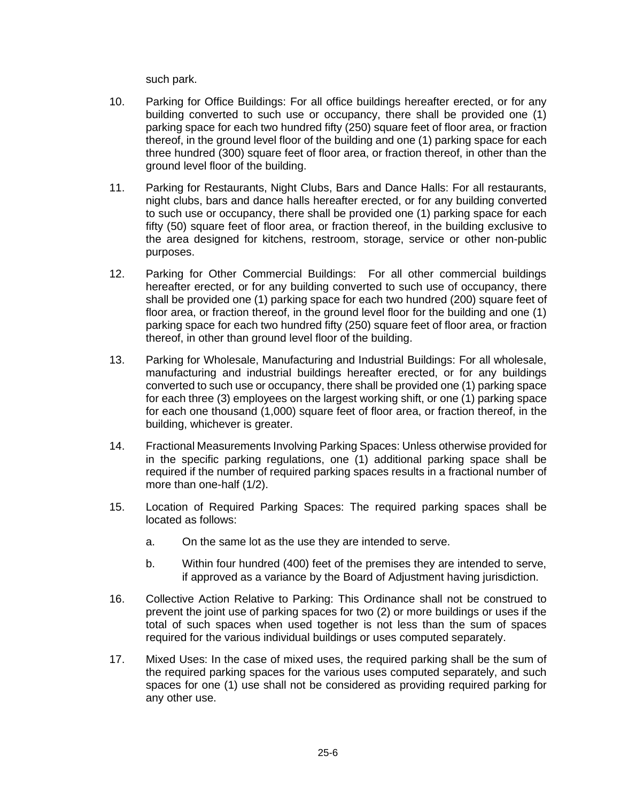such park.

- 10. Parking for Office Buildings: For all office buildings hereafter erected, or for any building converted to such use or occupancy, there shall be provided one (1) parking space for each two hundred fifty (250) square feet of floor area, or fraction thereof, in the ground level floor of the building and one (1) parking space for each three hundred (300) square feet of floor area, or fraction thereof, in other than the ground level floor of the building.
- 11. Parking for Restaurants, Night Clubs, Bars and Dance Halls: For all restaurants, night clubs, bars and dance halls hereafter erected, or for any building converted to such use or occupancy, there shall be provided one (1) parking space for each fifty (50) square feet of floor area, or fraction thereof, in the building exclusive to the area designed for kitchens, restroom, storage, service or other non-public purposes.
- 12. Parking for Other Commercial Buildings: For all other commercial buildings hereafter erected, or for any building converted to such use of occupancy, there shall be provided one (1) parking space for each two hundred (200) square feet of floor area, or fraction thereof, in the ground level floor for the building and one (1) parking space for each two hundred fifty (250) square feet of floor area, or fraction thereof, in other than ground level floor of the building.
- 13. Parking for Wholesale, Manufacturing and Industrial Buildings: For all wholesale, manufacturing and industrial buildings hereafter erected, or for any buildings converted to such use or occupancy, there shall be provided one (1) parking space for each three (3) employees on the largest working shift, or one (1) parking space for each one thousand (1,000) square feet of floor area, or fraction thereof, in the building, whichever is greater.
- 14. Fractional Measurements Involving Parking Spaces: Unless otherwise provided for in the specific parking regulations, one (1) additional parking space shall be required if the number of required parking spaces results in a fractional number of more than one-half (1/2).
- 15. Location of Required Parking Spaces: The required parking spaces shall be located as follows:
	- a. On the same lot as the use they are intended to serve.
	- b. Within four hundred (400) feet of the premises they are intended to serve, if approved as a variance by the Board of Adjustment having jurisdiction.
- 16. Collective Action Relative to Parking: This Ordinance shall not be construed to prevent the joint use of parking spaces for two (2) or more buildings or uses if the total of such spaces when used together is not less than the sum of spaces required for the various individual buildings or uses computed separately.
- 17. Mixed Uses: In the case of mixed uses, the required parking shall be the sum of the required parking spaces for the various uses computed separately, and such spaces for one (1) use shall not be considered as providing required parking for any other use.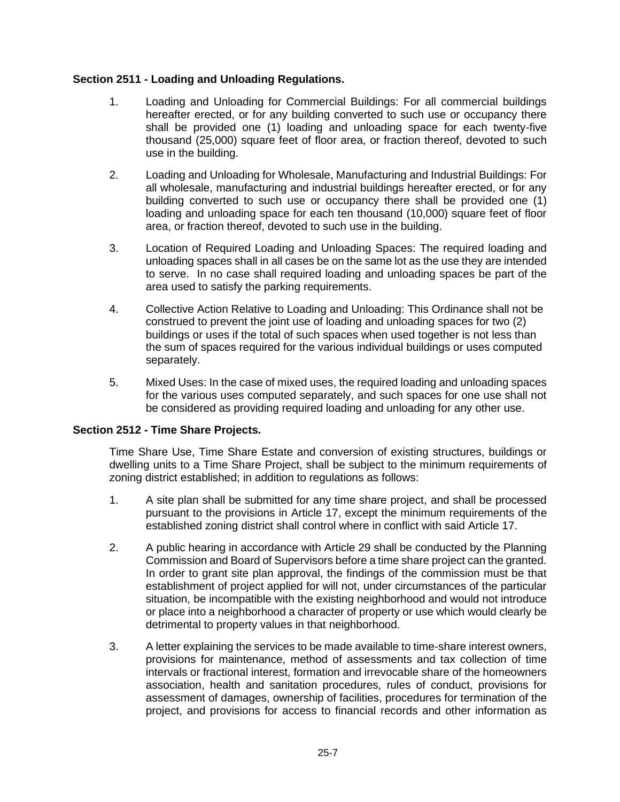## **Section 2511 - Loading and Unloading Regulations.**

- 1. Loading and Unloading for Commercial Buildings: For all commercial buildings hereafter erected, or for any building converted to such use or occupancy there shall be provided one (1) loading and unloading space for each twenty-five thousand (25,000) square feet of floor area, or fraction thereof, devoted to such use in the building.
- 2. Loading and Unloading for Wholesale, Manufacturing and Industrial Buildings: For all wholesale, manufacturing and industrial buildings hereafter erected, or for any building converted to such use or occupancy there shall be provided one (1) loading and unloading space for each ten thousand (10,000) square feet of floor area, or fraction thereof, devoted to such use in the building.
- 3. Location of Required Loading and Unloading Spaces: The required loading and unloading spaces shall in all cases be on the same lot as the use they are intended to serve. In no case shall required loading and unloading spaces be part of the area used to satisfy the parking requirements.
- 4. Collective Action Relative to Loading and Unloading: This Ordinance shall not be construed to prevent the joint use of loading and unloading spaces for two (2) buildings or uses if the total of such spaces when used together is not less than the sum of spaces required for the various individual buildings or uses computed separately.
- 5. Mixed Uses: In the case of mixed uses, the required loading and unloading spaces for the various uses computed separately, and such spaces for one use shall not be considered as providing required loading and unloading for any other use.

## **Section 2512 - Time Share Projects.**

Time Share Use, Time Share Estate and conversion of existing structures, buildings or dwelling units to a Time Share Project, shall be subject to the minimum requirements of zoning district established; in addition to regulations as follows:

- 1. A site plan shall be submitted for any time share project, and shall be processed pursuant to the provisions in Article 17, except the minimum requirements of the established zoning district shall control where in conflict with said Article 17.
- 2. A public hearing in accordance with Article 29 shall be conducted by the Planning Commission and Board of Supervisors before a time share project can the granted. In order to grant site plan approval, the findings of the commission must be that establishment of project applied for will not, under circumstances of the particular situation, be incompatible with the existing neighborhood and would not introduce or place into a neighborhood a character of property or use which would clearly be detrimental to property values in that neighborhood.
- 3. A letter explaining the services to be made available to time-share interest owners, provisions for maintenance, method of assessments and tax collection of time intervals or fractional interest, formation and irrevocable share of the homeowners association, health and sanitation procedures, rules of conduct, provisions for assessment of damages, ownership of facilities, procedures for termination of the project, and provisions for access to financial records and other information as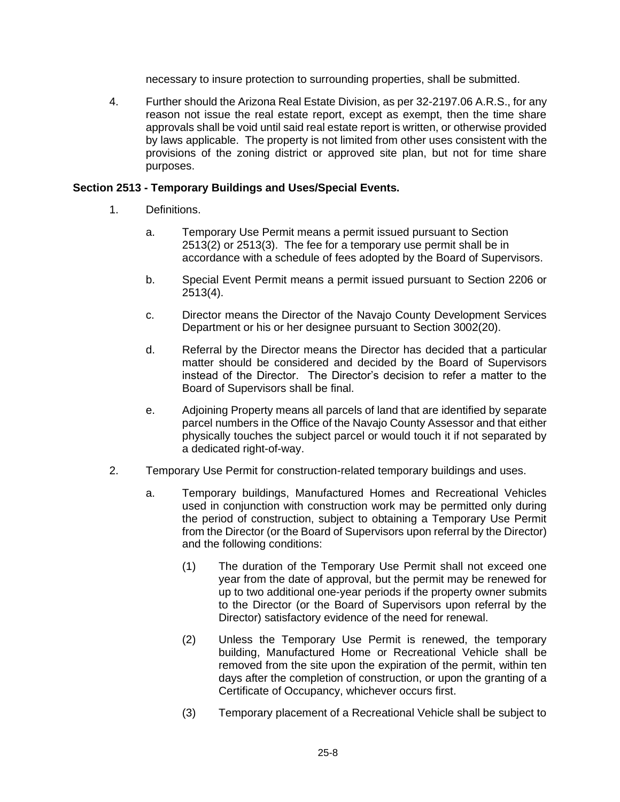necessary to insure protection to surrounding properties, shall be submitted.

4. Further should the Arizona Real Estate Division, as per 32-2197.06 A.R.S., for any reason not issue the real estate report, except as exempt, then the time share approvals shall be void until said real estate report is written, or otherwise provided by laws applicable. The property is not limited from other uses consistent with the provisions of the zoning district or approved site plan, but not for time share purposes.

## **Section 2513 - Temporary Buildings and Uses/Special Events.**

- 1. Definitions.
	- a. Temporary Use Permit means a permit issued pursuant to Section 2513(2) or 2513(3). The fee for a temporary use permit shall be in accordance with a schedule of fees adopted by the Board of Supervisors.
	- b. Special Event Permit means a permit issued pursuant to Section 2206 or 2513(4).
	- c. Director means the Director of the Navajo County Development Services Department or his or her designee pursuant to Section 3002(20).
	- d. Referral by the Director means the Director has decided that a particular matter should be considered and decided by the Board of Supervisors instead of the Director. The Director's decision to refer a matter to the Board of Supervisors shall be final.
	- e. Adjoining Property means all parcels of land that are identified by separate parcel numbers in the Office of the Navajo County Assessor and that either physically touches the subject parcel or would touch it if not separated by a dedicated right-of-way.
- 2. Temporary Use Permit for construction-related temporary buildings and uses.
	- a. Temporary buildings, Manufactured Homes and Recreational Vehicles used in conjunction with construction work may be permitted only during the period of construction, subject to obtaining a Temporary Use Permit from the Director (or the Board of Supervisors upon referral by the Director) and the following conditions:
		- (1) The duration of the Temporary Use Permit shall not exceed one year from the date of approval, but the permit may be renewed for up to two additional one-year periods if the property owner submits to the Director (or the Board of Supervisors upon referral by the Director) satisfactory evidence of the need for renewal.
		- (2) Unless the Temporary Use Permit is renewed, the temporary building, Manufactured Home or Recreational Vehicle shall be removed from the site upon the expiration of the permit, within ten days after the completion of construction, or upon the granting of a Certificate of Occupancy, whichever occurs first.
		- (3) Temporary placement of a Recreational Vehicle shall be subject to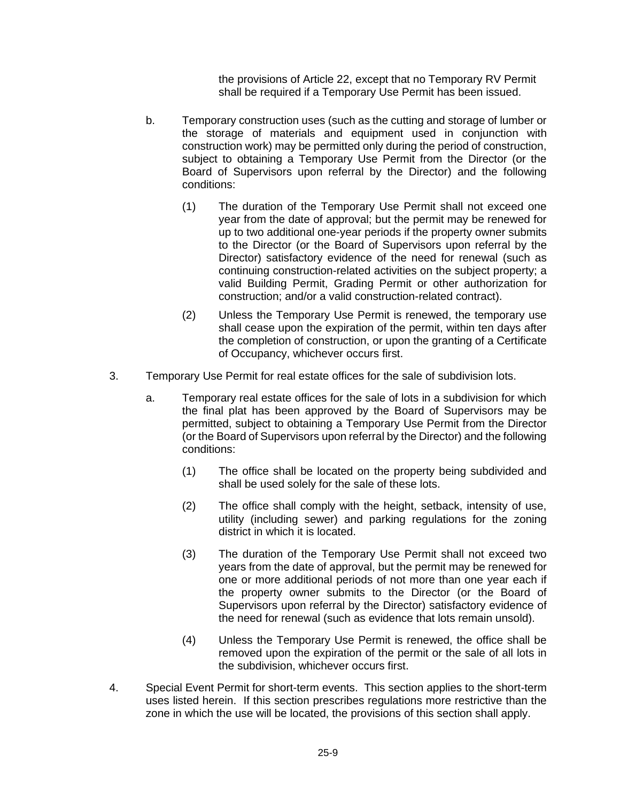the provisions of Article 22, except that no Temporary RV Permit shall be required if a Temporary Use Permit has been issued.

- b. Temporary construction uses (such as the cutting and storage of lumber or the storage of materials and equipment used in conjunction with construction work) may be permitted only during the period of construction, subject to obtaining a Temporary Use Permit from the Director (or the Board of Supervisors upon referral by the Director) and the following conditions:
	- (1) The duration of the Temporary Use Permit shall not exceed one year from the date of approval; but the permit may be renewed for up to two additional one-year periods if the property owner submits to the Director (or the Board of Supervisors upon referral by the Director) satisfactory evidence of the need for renewal (such as continuing construction-related activities on the subject property; a valid Building Permit, Grading Permit or other authorization for construction; and/or a valid construction-related contract).
	- (2) Unless the Temporary Use Permit is renewed, the temporary use shall cease upon the expiration of the permit, within ten days after the completion of construction, or upon the granting of a Certificate of Occupancy, whichever occurs first.
- 3. Temporary Use Permit for real estate offices for the sale of subdivision lots.
	- a. Temporary real estate offices for the sale of lots in a subdivision for which the final plat has been approved by the Board of Supervisors may be permitted, subject to obtaining a Temporary Use Permit from the Director (or the Board of Supervisors upon referral by the Director) and the following conditions:
		- (1) The office shall be located on the property being subdivided and shall be used solely for the sale of these lots.
		- (2) The office shall comply with the height, setback, intensity of use, utility (including sewer) and parking regulations for the zoning district in which it is located.
		- (3) The duration of the Temporary Use Permit shall not exceed two years from the date of approval, but the permit may be renewed for one or more additional periods of not more than one year each if the property owner submits to the Director (or the Board of Supervisors upon referral by the Director) satisfactory evidence of the need for renewal (such as evidence that lots remain unsold).
		- (4) Unless the Temporary Use Permit is renewed, the office shall be removed upon the expiration of the permit or the sale of all lots in the subdivision, whichever occurs first.
- 4. Special Event Permit for short-term events. This section applies to the short-term uses listed herein. If this section prescribes regulations more restrictive than the zone in which the use will be located, the provisions of this section shall apply.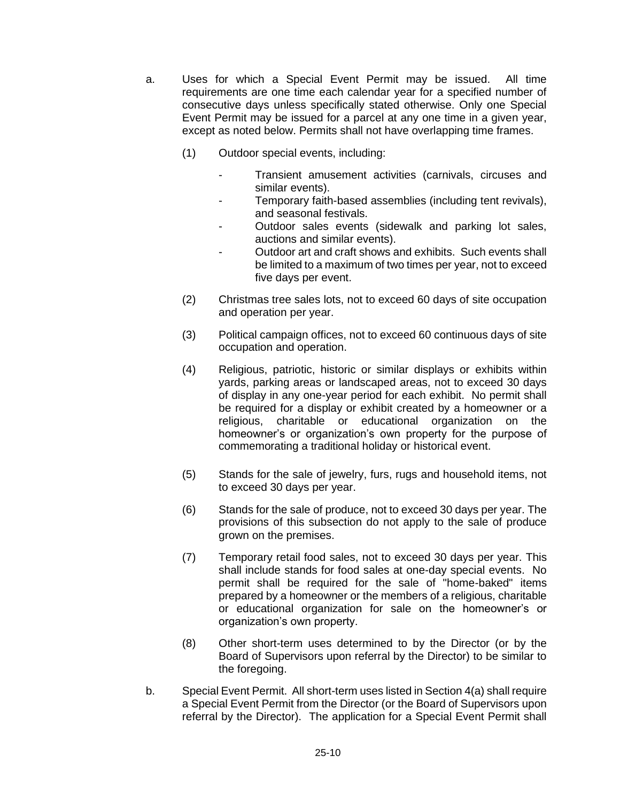- a. Uses for which a Special Event Permit may be issued. All time requirements are one time each calendar year for a specified number of consecutive days unless specifically stated otherwise. Only one Special Event Permit may be issued for a parcel at any one time in a given year, except as noted below. Permits shall not have overlapping time frames.
	- (1) Outdoor special events, including:
		- Transient amusement activities (carnivals, circuses and similar events).
		- Temporary faith-based assemblies (including tent revivals), and seasonal festivals.
		- Outdoor sales events (sidewalk and parking lot sales, auctions and similar events).
		- Outdoor art and craft shows and exhibits. Such events shall be limited to a maximum of two times per year, not to exceed five days per event.
	- (2) Christmas tree sales lots, not to exceed 60 days of site occupation and operation per year.
	- (3) Political campaign offices, not to exceed 60 continuous days of site occupation and operation.
	- (4) Religious, patriotic, historic or similar displays or exhibits within yards, parking areas or landscaped areas, not to exceed 30 days of display in any one-year period for each exhibit. No permit shall be required for a display or exhibit created by a homeowner or a religious, charitable or educational organization on the homeowner's or organization's own property for the purpose of commemorating a traditional holiday or historical event.
	- (5) Stands for the sale of jewelry, furs, rugs and household items, not to exceed 30 days per year.
	- (6) Stands for the sale of produce, not to exceed 30 days per year. The provisions of this subsection do not apply to the sale of produce grown on the premises.
	- (7) Temporary retail food sales, not to exceed 30 days per year. This shall include stands for food sales at one-day special events. No permit shall be required for the sale of "home-baked" items prepared by a homeowner or the members of a religious, charitable or educational organization for sale on the homeowner's or organization's own property.
	- (8) Other short-term uses determined to by the Director (or by the Board of Supervisors upon referral by the Director) to be similar to the foregoing.
- b. Special Event Permit. All short-term uses listed in Section 4(a) shall require a Special Event Permit from the Director (or the Board of Supervisors upon referral by the Director). The application for a Special Event Permit shall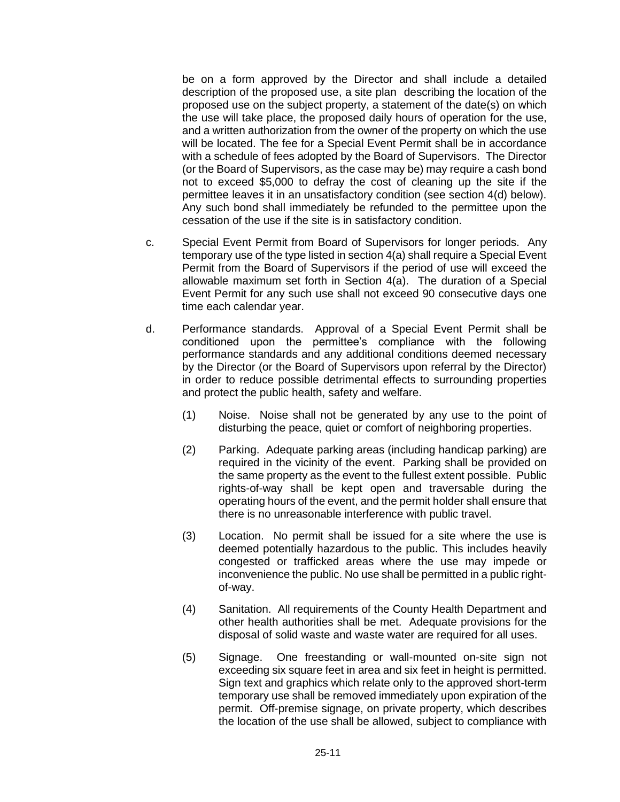be on a form approved by the Director and shall include a detailed description of the proposed use, a site plan describing the location of the proposed use on the subject property, a statement of the date(s) on which the use will take place, the proposed daily hours of operation for the use, and a written authorization from the owner of the property on which the use will be located. The fee for a Special Event Permit shall be in accordance with a schedule of fees adopted by the Board of Supervisors. The Director (or the Board of Supervisors, as the case may be) may require a cash bond not to exceed \$5,000 to defray the cost of cleaning up the site if the permittee leaves it in an unsatisfactory condition (see section 4(d) below). Any such bond shall immediately be refunded to the permittee upon the cessation of the use if the site is in satisfactory condition.

- c. Special Event Permit from Board of Supervisors for longer periods. Any temporary use of the type listed in section 4(a) shall require a Special Event Permit from the Board of Supervisors if the period of use will exceed the allowable maximum set forth in Section 4(a). The duration of a Special Event Permit for any such use shall not exceed 90 consecutive days one time each calendar year.
- d. Performance standards. Approval of a Special Event Permit shall be conditioned upon the permittee's compliance with the following performance standards and any additional conditions deemed necessary by the Director (or the Board of Supervisors upon referral by the Director) in order to reduce possible detrimental effects to surrounding properties and protect the public health, safety and welfare.
	- (1) Noise. Noise shall not be generated by any use to the point of disturbing the peace, quiet or comfort of neighboring properties.
	- (2) Parking. Adequate parking areas (including handicap parking) are required in the vicinity of the event. Parking shall be provided on the same property as the event to the fullest extent possible. Public rights-of-way shall be kept open and traversable during the operating hours of the event, and the permit holder shall ensure that there is no unreasonable interference with public travel.
	- (3) Location. No permit shall be issued for a site where the use is deemed potentially hazardous to the public. This includes heavily congested or trafficked areas where the use may impede or inconvenience the public. No use shall be permitted in a public rightof-way.
	- (4) Sanitation. All requirements of the County Health Department and other health authorities shall be met. Adequate provisions for the disposal of solid waste and waste water are required for all uses.
	- (5) Signage. One freestanding or wall-mounted on-site sign not exceeding six square feet in area and six feet in height is permitted. Sign text and graphics which relate only to the approved short-term temporary use shall be removed immediately upon expiration of the permit. Off-premise signage, on private property, which describes the location of the use shall be allowed, subject to compliance with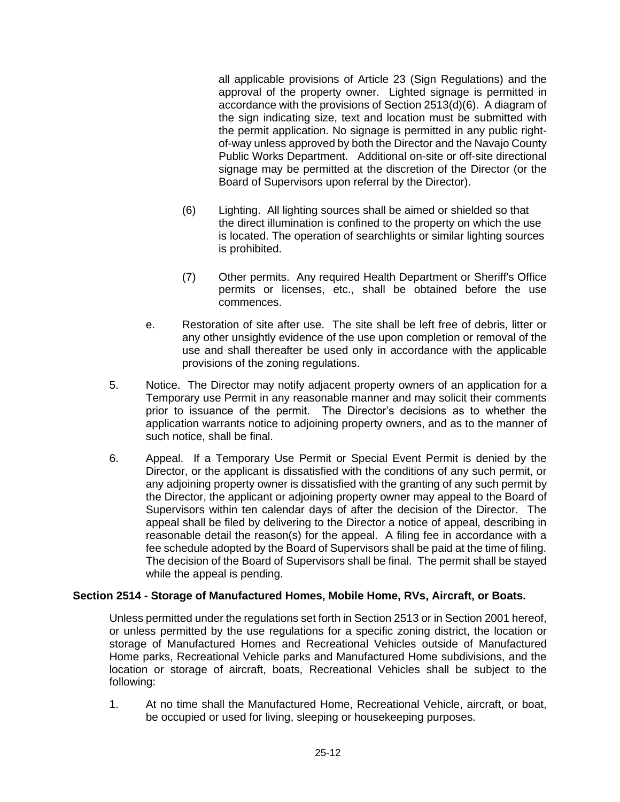all applicable provisions of Article 23 (Sign Regulations) and the approval of the property owner. Lighted signage is permitted in accordance with the provisions of Section 2513(d)(6). A diagram of the sign indicating size, text and location must be submitted with the permit application. No signage is permitted in any public rightof-way unless approved by both the Director and the Navajo County Public Works Department. Additional on-site or off-site directional signage may be permitted at the discretion of the Director (or the Board of Supervisors upon referral by the Director).

- (6) Lighting. All lighting sources shall be aimed or shielded so that the direct illumination is confined to the property on which the use is located. The operation of searchlights or similar lighting sources is prohibited.
- (7) Other permits. Any required Health Department or Sheriff's Office permits or licenses, etc., shall be obtained before the use commences.
- e. Restoration of site after use. The site shall be left free of debris, litter or any other unsightly evidence of the use upon completion or removal of the use and shall thereafter be used only in accordance with the applicable provisions of the zoning regulations.
- 5. Notice. The Director may notify adjacent property owners of an application for a Temporary use Permit in any reasonable manner and may solicit their comments prior to issuance of the permit. The Director's decisions as to whether the application warrants notice to adjoining property owners, and as to the manner of such notice, shall be final.
- 6. Appeal. If a Temporary Use Permit or Special Event Permit is denied by the Director, or the applicant is dissatisfied with the conditions of any such permit, or any adjoining property owner is dissatisfied with the granting of any such permit by the Director, the applicant or adjoining property owner may appeal to the Board of Supervisors within ten calendar days of after the decision of the Director. The appeal shall be filed by delivering to the Director a notice of appeal, describing in reasonable detail the reason(s) for the appeal. A filing fee in accordance with a fee schedule adopted by the Board of Supervisors shall be paid at the time of filing. The decision of the Board of Supervisors shall be final. The permit shall be stayed while the appeal is pending.

## **Section 2514 - Storage of Manufactured Homes, Mobile Home, RVs, Aircraft, or Boats.**

Unless permitted under the regulations set forth in Section 2513 or in Section 2001 hereof, or unless permitted by the use regulations for a specific zoning district, the location or storage of Manufactured Homes and Recreational Vehicles outside of Manufactured Home parks, Recreational Vehicle parks and Manufactured Home subdivisions, and the location or storage of aircraft, boats, Recreational Vehicles shall be subject to the following:

1. At no time shall the Manufactured Home, Recreational Vehicle, aircraft, or boat, be occupied or used for living, sleeping or housekeeping purposes.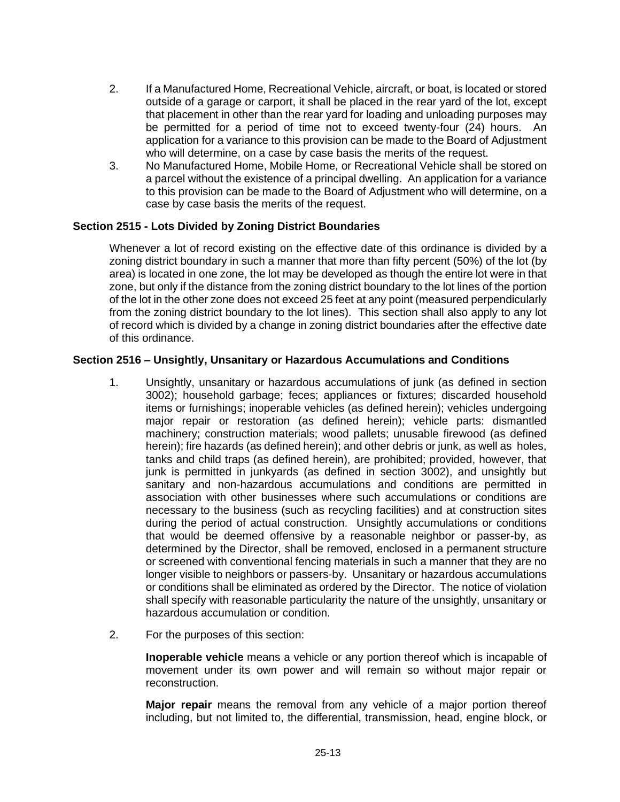- 2. If a Manufactured Home, Recreational Vehicle, aircraft, or boat, is located or stored outside of a garage or carport, it shall be placed in the rear yard of the lot, except that placement in other than the rear yard for loading and unloading purposes may be permitted for a period of time not to exceed twenty-four (24) hours. An application for a variance to this provision can be made to the Board of Adjustment who will determine, on a case by case basis the merits of the request.
- 3. No Manufactured Home, Mobile Home, or Recreational Vehicle shall be stored on a parcel without the existence of a principal dwelling. An application for a variance to this provision can be made to the Board of Adjustment who will determine, on a case by case basis the merits of the request.

## **Section 2515 - Lots Divided by Zoning District Boundaries**

Whenever a lot of record existing on the effective date of this ordinance is divided by a zoning district boundary in such a manner that more than fifty percent (50%) of the lot (by area) is located in one zone, the lot may be developed as though the entire lot were in that zone, but only if the distance from the zoning district boundary to the lot lines of the portion of the lot in the other zone does not exceed 25 feet at any point (measured perpendicularly from the zoning district boundary to the lot lines). This section shall also apply to any lot of record which is divided by a change in zoning district boundaries after the effective date of this ordinance.

## **Section 2516 – Unsightly, Unsanitary or Hazardous Accumulations and Conditions**

- 1. Unsightly, unsanitary or hazardous accumulations of junk (as defined in section 3002); household garbage; feces; appliances or fixtures; discarded household items or furnishings; inoperable vehicles (as defined herein); vehicles undergoing major repair or restoration (as defined herein); vehicle parts: dismantled machinery; construction materials; wood pallets; unusable firewood (as defined herein); fire hazards (as defined herein); and other debris or junk, as well as holes, tanks and child traps (as defined herein), are prohibited; provided, however, that junk is permitted in junkyards (as defined in section 3002), and unsightly but sanitary and non-hazardous accumulations and conditions are permitted in association with other businesses where such accumulations or conditions are necessary to the business (such as recycling facilities) and at construction sites during the period of actual construction. Unsightly accumulations or conditions that would be deemed offensive by a reasonable neighbor or passer-by, as determined by the Director, shall be removed, enclosed in a permanent structure or screened with conventional fencing materials in such a manner that they are no longer visible to neighbors or passers-by. Unsanitary or hazardous accumulations or conditions shall be eliminated as ordered by the Director. The notice of violation shall specify with reasonable particularity the nature of the unsightly, unsanitary or hazardous accumulation or condition.
- 2. For the purposes of this section:

**Inoperable vehicle** means a vehicle or any portion thereof which is incapable of movement under its own power and will remain so without major repair or reconstruction.

**Major repair** means the removal from any vehicle of a major portion thereof including, but not limited to, the differential, transmission, head, engine block, or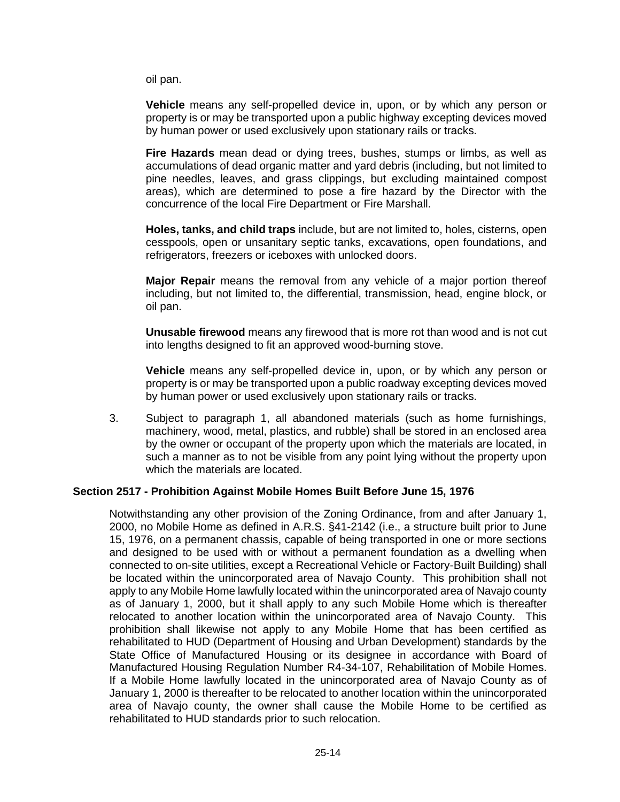oil pan.

**Vehicle** means any self-propelled device in, upon, or by which any person or property is or may be transported upon a public highway excepting devices moved by human power or used exclusively upon stationary rails or tracks.

**Fire Hazards** mean dead or dying trees, bushes, stumps or limbs, as well as accumulations of dead organic matter and yard debris (including, but not limited to pine needles, leaves, and grass clippings, but excluding maintained compost areas), which are determined to pose a fire hazard by the Director with the concurrence of the local Fire Department or Fire Marshall.

**Holes, tanks, and child traps** include, but are not limited to, holes, cisterns, open cesspools, open or unsanitary septic tanks, excavations, open foundations, and refrigerators, freezers or iceboxes with unlocked doors.

**Major Repair** means the removal from any vehicle of a major portion thereof including, but not limited to, the differential, transmission, head, engine block, or oil pan.

**Unusable firewood** means any firewood that is more rot than wood and is not cut into lengths designed to fit an approved wood-burning stove.

**Vehicle** means any self-propelled device in, upon, or by which any person or property is or may be transported upon a public roadway excepting devices moved by human power or used exclusively upon stationary rails or tracks.

3. Subject to paragraph 1, all abandoned materials (such as home furnishings, machinery, wood, metal, plastics, and rubble) shall be stored in an enclosed area by the owner or occupant of the property upon which the materials are located, in such a manner as to not be visible from any point lying without the property upon which the materials are located.

## **Section 2517 - Prohibition Against Mobile Homes Built Before June 15, 1976**

Notwithstanding any other provision of the Zoning Ordinance, from and after January 1, 2000, no Mobile Home as defined in A.R.S. §41-2142 (i.e., a structure built prior to June 15, 1976, on a permanent chassis, capable of being transported in one or more sections and designed to be used with or without a permanent foundation as a dwelling when connected to on-site utilities, except a Recreational Vehicle or Factory-Built Building) shall be located within the unincorporated area of Navajo County. This prohibition shall not apply to any Mobile Home lawfully located within the unincorporated area of Navajo county as of January 1, 2000, but it shall apply to any such Mobile Home which is thereafter relocated to another location within the unincorporated area of Navajo County. This prohibition shall likewise not apply to any Mobile Home that has been certified as rehabilitated to HUD (Department of Housing and Urban Development) standards by the State Office of Manufactured Housing or its designee in accordance with Board of Manufactured Housing Regulation Number R4-34-107, Rehabilitation of Mobile Homes. If a Mobile Home lawfully located in the unincorporated area of Navajo County as of January 1, 2000 is thereafter to be relocated to another location within the unincorporated area of Navajo county, the owner shall cause the Mobile Home to be certified as rehabilitated to HUD standards prior to such relocation.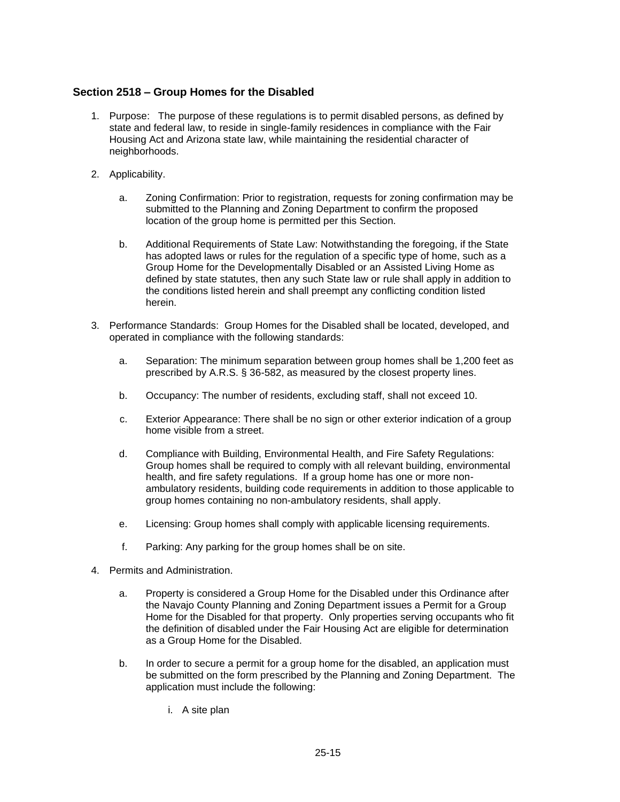#### **Section 2518 – Group Homes for the Disabled**

- 1. Purpose: The purpose of these regulations is to permit disabled persons, as defined by state and federal law, to reside in single-family residences in compliance with the Fair Housing Act and Arizona state law, while maintaining the residential character of neighborhoods.
- 2. Applicability.
	- a. Zoning Confirmation: Prior to registration, requests for zoning confirmation may be submitted to the Planning and Zoning Department to confirm the proposed location of the group home is permitted per this Section.
	- b. Additional Requirements of State Law: Notwithstanding the foregoing, if the State has adopted laws or rules for the regulation of a specific type of home, such as a Group Home for the Developmentally Disabled or an Assisted Living Home as defined by state statutes, then any such State law or rule shall apply in addition to the conditions listed herein and shall preempt any conflicting condition listed herein.
- 3. Performance Standards: Group Homes for the Disabled shall be located, developed, and operated in compliance with the following standards:
	- a. Separation: The minimum separation between group homes shall be 1,200 feet as prescribed by A.R.S. § 36-582, as measured by the closest property lines.
	- b. Occupancy: The number of residents, excluding staff, shall not exceed 10.
	- c. Exterior Appearance: There shall be no sign or other exterior indication of a group home visible from a street.
	- d. Compliance with Building, Environmental Health, and Fire Safety Regulations: Group homes shall be required to comply with all relevant building, environmental health, and fire safety regulations. If a group home has one or more nonambulatory residents, building code requirements in addition to those applicable to group homes containing no non-ambulatory residents, shall apply.
	- e. Licensing: Group homes shall comply with applicable licensing requirements.
	- f. Parking: Any parking for the group homes shall be on site.
- 4. Permits and Administration.
	- a. Property is considered a Group Home for the Disabled under this Ordinance after the Navajo County Planning and Zoning Department issues a Permit for a Group Home for the Disabled for that property. Only properties serving occupants who fit the definition of disabled under the Fair Housing Act are eligible for determination as a Group Home for the Disabled.
	- b. In order to secure a permit for a group home for the disabled, an application must be submitted on the form prescribed by the Planning and Zoning Department. The application must include the following:
		- i. A site plan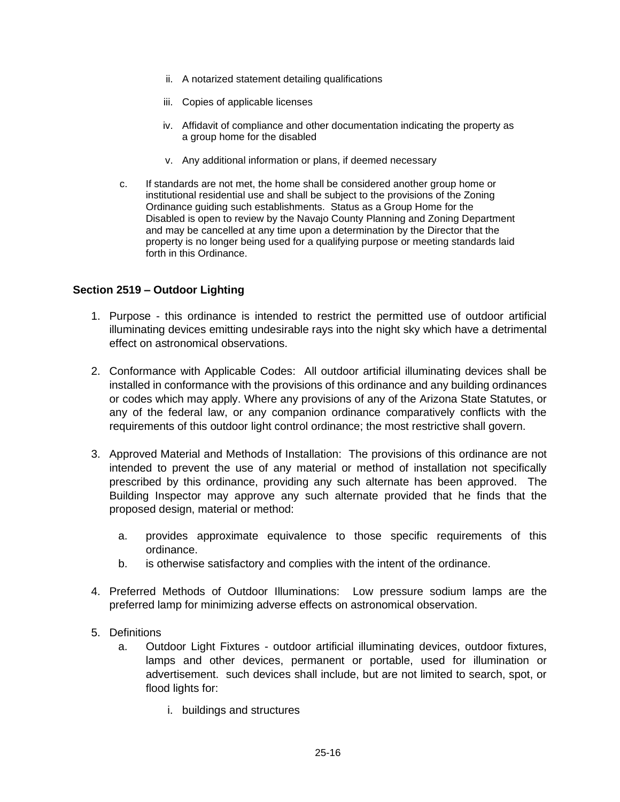- ii. A notarized statement detailing qualifications
- iii. Copies of applicable licenses
- iv. Affidavit of compliance and other documentation indicating the property as a group home for the disabled
- v. Any additional information or plans, if deemed necessary
- c. If standards are not met, the home shall be considered another group home or institutional residential use and shall be subject to the provisions of the Zoning Ordinance guiding such establishments. Status as a Group Home for the Disabled is open to review by the Navajo County Planning and Zoning Department and may be cancelled at any time upon a determination by the Director that the property is no longer being used for a qualifying purpose or meeting standards laid forth in this Ordinance.

## **Section 2519 – Outdoor Lighting**

- 1. Purpose this ordinance is intended to restrict the permitted use of outdoor artificial illuminating devices emitting undesirable rays into the night sky which have a detrimental effect on astronomical observations.
- 2. Conformance with Applicable Codes: All outdoor artificial illuminating devices shall be installed in conformance with the provisions of this ordinance and any building ordinances or codes which may apply. Where any provisions of any of the Arizona State Statutes, or any of the federal law, or any companion ordinance comparatively conflicts with the requirements of this outdoor light control ordinance; the most restrictive shall govern.
- 3. Approved Material and Methods of Installation: The provisions of this ordinance are not intended to prevent the use of any material or method of installation not specifically prescribed by this ordinance, providing any such alternate has been approved. The Building Inspector may approve any such alternate provided that he finds that the proposed design, material or method:
	- a. provides approximate equivalence to those specific requirements of this ordinance.
	- b. is otherwise satisfactory and complies with the intent of the ordinance.
- 4. Preferred Methods of Outdoor Illuminations: Low pressure sodium lamps are the preferred lamp for minimizing adverse effects on astronomical observation.
- 5. Definitions
	- a. Outdoor Light Fixtures outdoor artificial illuminating devices, outdoor fixtures, lamps and other devices, permanent or portable, used for illumination or advertisement. such devices shall include, but are not limited to search, spot, or flood lights for:
		- i. buildings and structures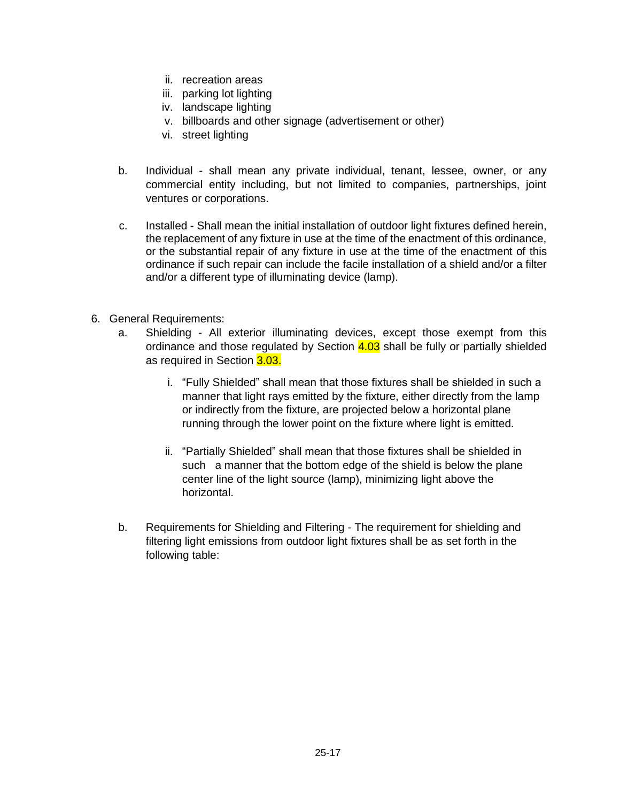- ii. recreation areas
- iii. parking lot lighting
- iv. landscape lighting
- v. billboards and other signage (advertisement or other)
- vi. street lighting
- b. Individual shall mean any private individual, tenant, lessee, owner, or any commercial entity including, but not limited to companies, partnerships, joint ventures or corporations.
- c. Installed Shall mean the initial installation of outdoor light fixtures defined herein, the replacement of any fixture in use at the time of the enactment of this ordinance, or the substantial repair of any fixture in use at the time of the enactment of this ordinance if such repair can include the facile installation of a shield and/or a filter and/or a different type of illuminating device (lamp).
- 6. General Requirements:
	- a. Shielding All exterior illuminating devices, except those exempt from this ordinance and those regulated by Section  $4.03$  shall be fully or partially shielded as required in Section 3.03.
		- i. "Fully Shielded" shall mean that those fixtures shall be shielded in such a manner that light rays emitted by the fixture, either directly from the lamp or indirectly from the fixture, are projected below a horizontal plane running through the lower point on the fixture where light is emitted.
		- ii. "Partially Shielded" shall mean that those fixtures shall be shielded in such a manner that the bottom edge of the shield is below the plane center line of the light source (lamp), minimizing light above the horizontal.
	- b. Requirements for Shielding and Filtering The requirement for shielding and filtering light emissions from outdoor light fixtures shall be as set forth in the following table: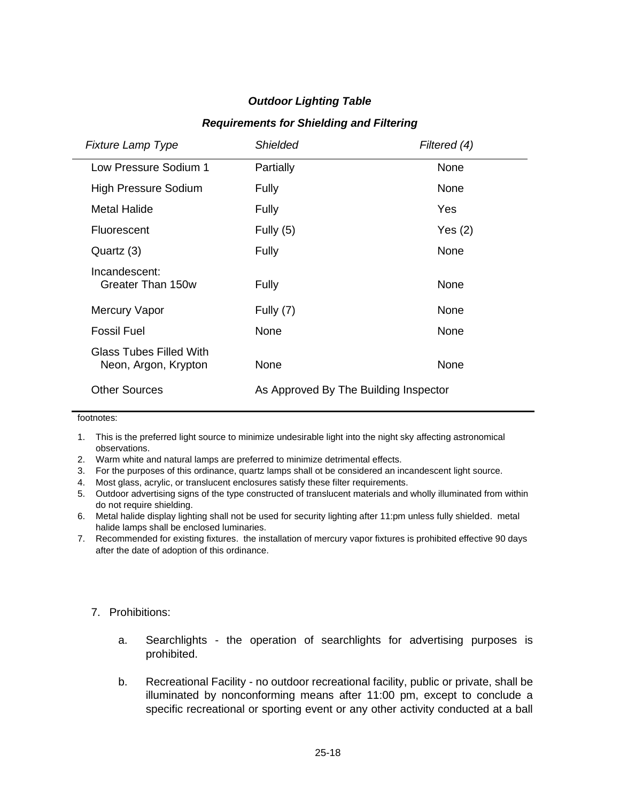# *Outdoor Lighting Table*

#### *Requirements for Shielding and Filtering*

| <b>Fixture Lamp Type</b>                               | <b>Shielded</b>                       | Filtered (4) |
|--------------------------------------------------------|---------------------------------------|--------------|
| Low Pressure Sodium 1                                  | Partially                             | None         |
| High Pressure Sodium                                   | Fully                                 | None         |
| <b>Metal Halide</b>                                    | Fully                                 | Yes          |
| Fluorescent                                            | Fully $(5)$                           | Yes(2)       |
| Quartz (3)                                             | Fully                                 | None         |
| Incandescent:<br>Greater Than 150w                     | Fully                                 | None         |
| Mercury Vapor                                          | Fully (7)                             | None         |
| Fossil Fuel                                            | None                                  | None         |
| <b>Glass Tubes Filled With</b><br>Neon, Argon, Krypton | None                                  | None         |
| <b>Other Sources</b>                                   | As Approved By The Building Inspector |              |

footnotes:

- 1. This is the preferred light source to minimize undesirable light into the night sky affecting astronomical observations.
- 2. Warm white and natural lamps are preferred to minimize detrimental effects.
- 3. For the purposes of this ordinance, quartz lamps shall ot be considered an incandescent light source.
- 4. Most glass, acrylic, or translucent enclosures satisfy these filter requirements.
- 5. Outdoor advertising signs of the type constructed of translucent materials and wholly illuminated from within do not require shielding.
- 6. Metal halide display lighting shall not be used for security lighting after 11:pm unless fully shielded. metal halide lamps shall be enclosed luminaries.
- 7. Recommended for existing fixtures. the installation of mercury vapor fixtures is prohibited effective 90 days after the date of adoption of this ordinance.

## 7. Prohibitions:

- a. Searchlights the operation of searchlights for advertising purposes is prohibited.
- b. Recreational Facility no outdoor recreational facility, public or private, shall be illuminated by nonconforming means after 11:00 pm, except to conclude a specific recreational or sporting event or any other activity conducted at a ball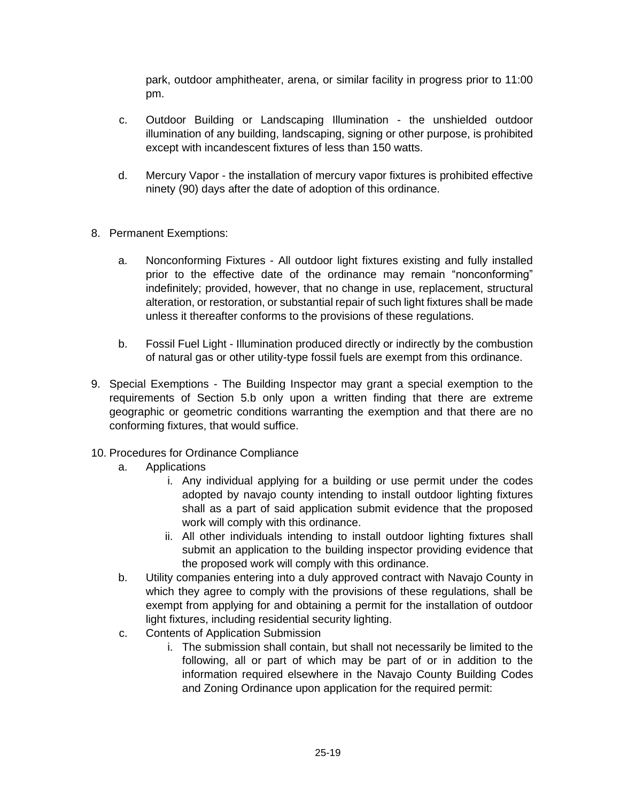park, outdoor amphitheater, arena, or similar facility in progress prior to 11:00 pm.

- c. Outdoor Building or Landscaping Illumination the unshielded outdoor illumination of any building, landscaping, signing or other purpose, is prohibited except with incandescent fixtures of less than 150 watts.
- d. Mercury Vapor the installation of mercury vapor fixtures is prohibited effective ninety (90) days after the date of adoption of this ordinance.
- 8. Permanent Exemptions:
	- a. Nonconforming Fixtures All outdoor light fixtures existing and fully installed prior to the effective date of the ordinance may remain "nonconforming" indefinitely; provided, however, that no change in use, replacement, structural alteration, or restoration, or substantial repair of such light fixtures shall be made unless it thereafter conforms to the provisions of these regulations.
	- b. Fossil Fuel Light Illumination produced directly or indirectly by the combustion of natural gas or other utility-type fossil fuels are exempt from this ordinance.
- 9. Special Exemptions The Building Inspector may grant a special exemption to the requirements of Section 5.b only upon a written finding that there are extreme geographic or geometric conditions warranting the exemption and that there are no conforming fixtures, that would suffice.
- 10. Procedures for Ordinance Compliance
	- a. Applications
		- i. Any individual applying for a building or use permit under the codes adopted by navajo county intending to install outdoor lighting fixtures shall as a part of said application submit evidence that the proposed work will comply with this ordinance.
		- ii. All other individuals intending to install outdoor lighting fixtures shall submit an application to the building inspector providing evidence that the proposed work will comply with this ordinance.
	- b. Utility companies entering into a duly approved contract with Navajo County in which they agree to comply with the provisions of these regulations, shall be exempt from applying for and obtaining a permit for the installation of outdoor light fixtures, including residential security lighting.
	- c. Contents of Application Submission
		- i. The submission shall contain, but shall not necessarily be limited to the following, all or part of which may be part of or in addition to the information required elsewhere in the Navajo County Building Codes and Zoning Ordinance upon application for the required permit: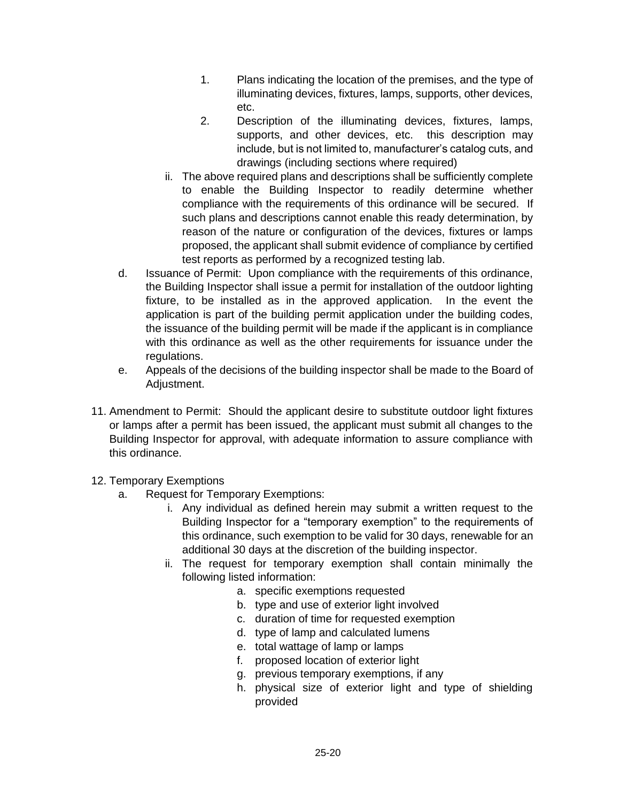- 1. Plans indicating the location of the premises, and the type of illuminating devices, fixtures, lamps, supports, other devices, etc.
- 2. Description of the illuminating devices, fixtures, lamps, supports, and other devices, etc. this description may include, but is not limited to, manufacturer's catalog cuts, and drawings (including sections where required)
- ii. The above required plans and descriptions shall be sufficiently complete to enable the Building Inspector to readily determine whether compliance with the requirements of this ordinance will be secured. If such plans and descriptions cannot enable this ready determination, by reason of the nature or configuration of the devices, fixtures or lamps proposed, the applicant shall submit evidence of compliance by certified test reports as performed by a recognized testing lab.
- d. Issuance of Permit: Upon compliance with the requirements of this ordinance, the Building Inspector shall issue a permit for installation of the outdoor lighting fixture, to be installed as in the approved application. In the event the application is part of the building permit application under the building codes, the issuance of the building permit will be made if the applicant is in compliance with this ordinance as well as the other requirements for issuance under the regulations.
- e. Appeals of the decisions of the building inspector shall be made to the Board of Adjustment.
- 11. Amendment to Permit: Should the applicant desire to substitute outdoor light fixtures or lamps after a permit has been issued, the applicant must submit all changes to the Building Inspector for approval, with adequate information to assure compliance with this ordinance.
- 12. Temporary Exemptions
	- a. Request for Temporary Exemptions:
		- i. Any individual as defined herein may submit a written request to the Building Inspector for a "temporary exemption" to the requirements of this ordinance, such exemption to be valid for 30 days, renewable for an additional 30 days at the discretion of the building inspector.
		- ii. The request for temporary exemption shall contain minimally the following listed information:
			- a. specific exemptions requested
			- b. type and use of exterior light involved
			- c. duration of time for requested exemption
			- d. type of lamp and calculated lumens
			- e. total wattage of lamp or lamps
			- f. proposed location of exterior light
			- g. previous temporary exemptions, if any
			- h. physical size of exterior light and type of shielding provided